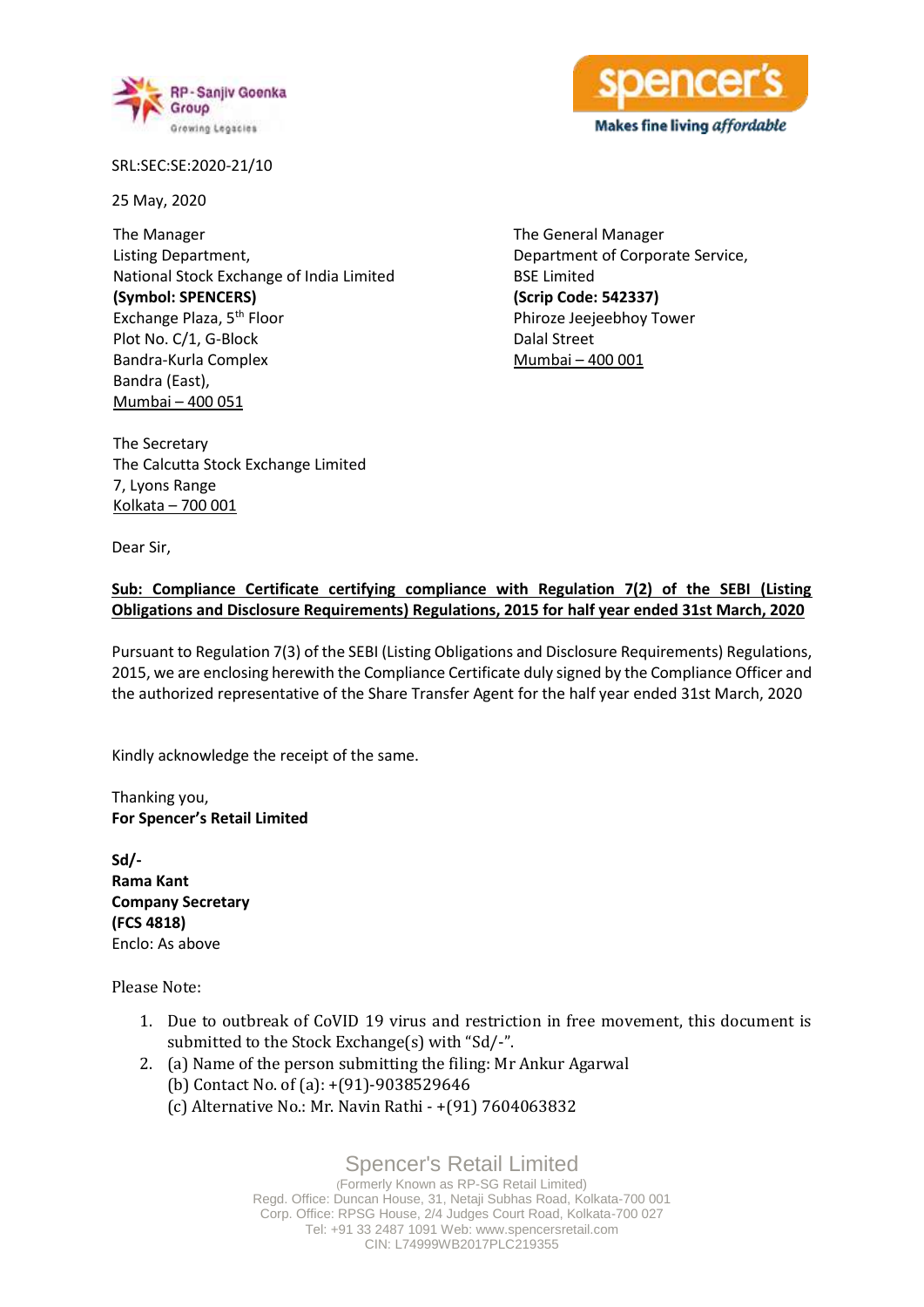



SRL:SEC:SE:2020-21/10

25 May, 2020

The Manager Listing Department, National Stock Exchange of India Limited **(Symbol: SPENCERS)** Exchange Plaza, 5<sup>th</sup> Floor Plot No. C/1, G-Block Bandra-Kurla Complex Bandra (East), Mumbai – 400 051

The General Manager Department of Corporate Service, BSE Limited **(Scrip Code: 542337)** Phiroze Jeejeebhoy Tower Dalal Street Mumbai – 400 001

The Secretary The Calcutta Stock Exchange Limited 7, Lyons Range Kolkata – 700 001

Dear Sir,

## **Sub: Compliance Certificate certifying compliance with Regulation 7(2) of the SEBI (Listing Obligations and Disclosure Requirements) Regulations, 2015 for half year ended 31st March, 2020**

Pursuant to Regulation 7(3) of the SEBI (Listing Obligations and Disclosure Requirements) Regulations, 2015, we are enclosing herewith the Compliance Certificate duly signed by the Compliance Officer and the authorized representative of the Share Transfer Agent for the half year ended 31st March, 2020

Kindly acknowledge the receipt of the same.

Thanking you, **For Spencer's Retail Limited**

**Sd/- Rama Kant Company Secretary (FCS 4818)** Enclo: As above

Please Note:

- 1. Due to outbreak of CoVID 19 virus and restriction in free movement, this document is submitted to the Stock Exchange(s) with "Sd/-".
- 2. (a) Name of the person submitting the filing: Mr Ankur Agarwal (b) Contact No. of (a): +(91)-9038529646
	- (c) Alternative No.: Mr. Navin Rathi +(91) 7604063832

Spencer's Retail Limited (Formerly Known as RP-SG Retail Limited) Regd. Office: Duncan House, 31, Netaji Subhas Road, Kolkata-700 001 Corp. Office: RPSG House, 2/4 Judges Court Road, Kolkata-700 027 Tel: +91 33 2487 1091 Web: www.spencersretail.com CIN: L74999WB2017PLC219355